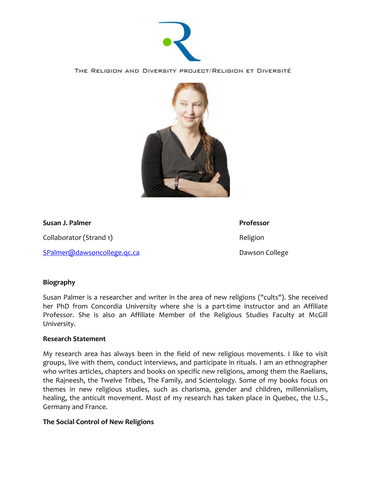

THE RELIGION AND DIVERSITY PROJECT/RELIGION ET DIVERSITÉ



**Susan J. Palmer Professor** 

Collaborator (Strand 1) and the collaborator (Strand 1) and the collaborator Religion

[SPalmer@dawsoncollege.qc.ca](mailto:SPalmer@dawsoncollege.qc.ca) Dawson College

## **Biography**

Susan Palmer is a researcher and writer in the area of new religions ("cults"). She received her PhD from Concordia University where she is a part-time instructor and an Affiliate Professor. She is also an Affiliate Member of the Religious Studies Faculty at McGill University.

## **Research Statement**

My research area has always been in the field of new religious movements. I like to visit groups, live with them, conduct interviews, and participate in rituals. I am an ethnographer who writes articles, chapters and books on specific new religions, among them the Raelians, the Rajneesh, the Twelve Tribes, The Family, and Scientology. Some of my books focus on themes in new religious studies, such as charisma, gender and children, millennialism, healing, the anticult movement. Most of my research has taken place in Quebec, the U.S., Germany and France.

## **The Social Control of New Religions**